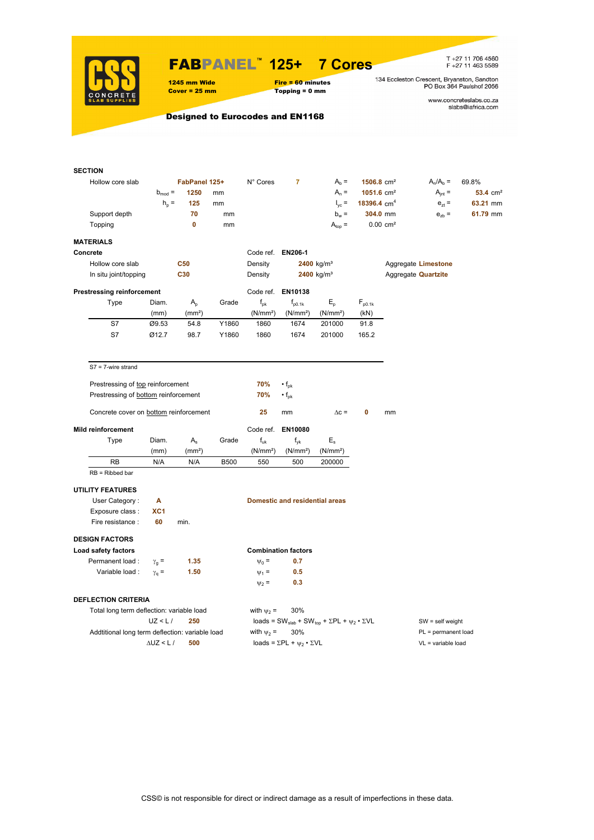

## FABPANEL**™ 125+ 7 Cores**

Topping = 0 mm

T +27 11 706 4560<br>F +27 11 463 5589

www.concreteslabs.co.za<br>slabs@iafrica.com

Designed to Eurocodes and EN1168

1245 mm Wide Fire = 60 minutes<br>
Cover = 25 mm Topping = 0 mm

| <b>SECTION</b>                                  |                    |                    |             |                      |                                                |                                                                                         |                          |                      |                            |                      |
|-------------------------------------------------|--------------------|--------------------|-------------|----------------------|------------------------------------------------|-----------------------------------------------------------------------------------------|--------------------------|----------------------|----------------------------|----------------------|
| Hollow core slab                                |                    | FabPanel 125+      |             | N° Cores             | 7                                              | $A_b =$                                                                                 | $1506.8$ cm <sup>2</sup> |                      | $A_n/A_b =$                | 69.8%                |
|                                                 | $b_{mod}$ =        | 1250               | mm          |                      |                                                | $A_n =$                                                                                 | $1051.6$ cm <sup>2</sup> |                      | $A_{int} =$                | 53.4 cm <sup>2</sup> |
|                                                 | $h_n =$            | 125                | mm          |                      |                                                | $I_{\text{vc}}$ =                                                                       | 18396.4 $cm4$            |                      | $e_{71} =$                 | 63.21 mm             |
| Support depth                                   |                    | 70                 | mm          |                      |                                                | $b_w =$                                                                                 | 304.0 mm                 |                      | $e_{zb}$ =                 | 61.79 mm             |
| Topping                                         |                    | 0                  | mm          |                      |                                                | $A_{top} =$                                                                             |                          | 0.00 cm <sup>2</sup> |                            |                      |
| <b>MATERIALS</b>                                |                    |                    |             |                      |                                                |                                                                                         |                          |                      |                            |                      |
| Concrete                                        |                    |                    |             | Code ref. EN206-1    |                                                |                                                                                         |                          |                      |                            |                      |
| Hollow core slab                                |                    | <b>C50</b>         |             | Density              |                                                | 2400 kg/m <sup>3</sup>                                                                  |                          |                      | Aggregate Limestone        |                      |
| In situ joint/topping                           |                    | C30                |             | Density              |                                                | 2400 kg/m <sup>3</sup>                                                                  |                          |                      | Aggregate <b>Quartzite</b> |                      |
| <b>Prestressing reinforcement</b>               |                    |                    |             |                      | Code ref. EN10138                              |                                                                                         |                          |                      |                            |                      |
| Type                                            | Diam.              | $A_{p}$            | Grade       | $f_{\rm pk}$         | $f_{\text{D}0.1k}$                             | $E_{\rm p}$                                                                             | $F_{p0.1k}$              |                      |                            |                      |
|                                                 | (mm)               | (mm <sup>2</sup> ) |             | (N/mm <sup>2</sup> ) | (N/mm <sup>2</sup> )                           | (N/mm <sup>2</sup> )                                                                    | (kN)                     |                      |                            |                      |
| S7                                              | Ø9.53              | 54.8               | Y1860       | 1860                 | 1674                                           | 201000                                                                                  | 91.8                     |                      |                            |                      |
| S7                                              | Ø12.7              | 98.7               | Y1860       | 1860                 | 1674                                           | 201000                                                                                  | 165.2                    |                      |                            |                      |
|                                                 |                    |                    |             |                      |                                                |                                                                                         |                          |                      |                            |                      |
| $S7 = 7$ -wire strand                           |                    |                    |             |                      |                                                |                                                                                         |                          |                      |                            |                      |
| Prestressing of top reinforcement               |                    |                    |             | 70%                  | $\cdot$ f <sub>pk</sub>                        |                                                                                         |                          |                      |                            |                      |
| Prestressing of bottom reinforcement            |                    |                    |             | 70%                  | $\cdot$ f <sub>pk</sub>                        |                                                                                         |                          |                      |                            |                      |
|                                                 |                    |                    |             |                      |                                                |                                                                                         |                          |                      |                            |                      |
| Concrete cover on bottom reinforcement          |                    |                    |             | 25                   | mm                                             | $\Delta c =$                                                                            | 0                        | mm                   |                            |                      |
| <b>Mild reinforcement</b>                       |                    |                    |             | Code ref.            | EN10080                                        |                                                                                         |                          |                      |                            |                      |
| Type                                            | Diam.              | $A_{s}$            | Grade       | $f_{uk}$             | $f_{\rm vk}$                                   | $E_{s}$                                                                                 |                          |                      |                            |                      |
|                                                 | (mm)               | (mm <sup>2</sup> ) |             | (N/mm <sup>2</sup> ) | (N/mm <sup>2</sup> )                           | (N/mm <sup>2</sup> )                                                                    |                          |                      |                            |                      |
| <b>RB</b>                                       | N/A                | N/A                | <b>B500</b> | 550                  | 500                                            | 200000                                                                                  |                          |                      |                            |                      |
| $RB = Ribbed bar$                               |                    |                    |             |                      |                                                |                                                                                         |                          |                      |                            |                      |
| <b>UTILITY FEATURES</b>                         |                    |                    |             |                      |                                                |                                                                                         |                          |                      |                            |                      |
| User Category:                                  | А                  |                    |             |                      | <b>Domestic and residential areas</b>          |                                                                                         |                          |                      |                            |                      |
| Exposure class :                                | XC <sub>1</sub>    |                    |             |                      |                                                |                                                                                         |                          |                      |                            |                      |
| Fire resistance :                               | 60                 | min.               |             |                      |                                                |                                                                                         |                          |                      |                            |                      |
| <b>DESIGN FACTORS</b>                           |                    |                    |             |                      |                                                |                                                                                         |                          |                      |                            |                      |
| Load safety factors                             |                    |                    |             |                      | <b>Combination factors</b>                     |                                                                                         |                          |                      |                            |                      |
| Permanent load:                                 | $\gamma_{\rm q} =$ | 1.35               |             | $\Psi_0 =$           | 0.7                                            |                                                                                         |                          |                      |                            |                      |
| Variable load :                                 | $\gamma_{q} =$     | 1.50               |             | $\Psi_1$ =           | 0.5                                            |                                                                                         |                          |                      |                            |                      |
|                                                 |                    |                    |             | $\psi_2 =$           | 0.3                                            |                                                                                         |                          |                      |                            |                      |
|                                                 |                    |                    |             |                      |                                                |                                                                                         |                          |                      |                            |                      |
| <b>DEFLECTION CRITERIA</b>                      |                    |                    |             |                      |                                                |                                                                                         |                          |                      |                            |                      |
| Total long term deflection: variable load       |                    |                    |             | with $\psi_2$ =      | 30%                                            |                                                                                         |                          |                      |                            |                      |
|                                                 | UZ < L/            | 250                |             |                      |                                                | loads = SW <sub>slab</sub> + SW <sub>top</sub> + $\Sigma$ PL + $\psi_2 \cdot \Sigma$ VL |                          |                      | $SW = self weight$         |                      |
| Addtitional long term deflection: variable load |                    |                    |             | with $\psi_2$ =      | 30%                                            |                                                                                         |                          |                      | PL = permanent load        |                      |
|                                                 | $\Delta$ UZ < L /  | 500                |             |                      | loads = $\Sigma$ PL + $\psi_2 \cdot \Sigma$ VL |                                                                                         |                          |                      | $VL = variable load$       |                      |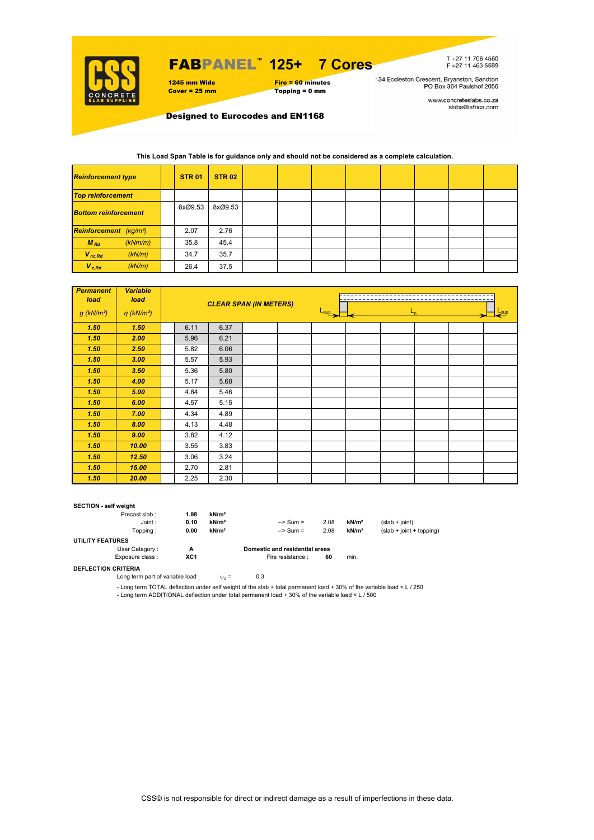

## FABPANEL**™ 125+ 7 Cores**

1245 mm Wide Fire = 60 minutes<br>
Cover = 25 mm Topping = 0 mm  $Topping = 0$  mm

T+27 11 706 4560<br>F+27 11 463 5589

134 Eccleston Crescent, Bryanston, Sandton<br>PO Box 364 Paulshof 2056

www.concreteslabs.co.za<br>slabs@iafrica.com

Designed to Eurocodes and EN1168

### **This Load Span Table is for guidance only and should not be considered as a complete calculation.**

| <b>Reinforcement type</b>          |         | <b>STR 01</b> | <b>STR 02</b> |  |  |  |  |
|------------------------------------|---------|---------------|---------------|--|--|--|--|
| <b>Top reinforcement</b>           |         |               |               |  |  |  |  |
| <b>Bottom reinforcement</b>        |         | 6xØ9.53       | 8xØ9.53       |  |  |  |  |
| Reinforcement (kg/m <sup>2</sup> ) |         | 2.07          | 2.76          |  |  |  |  |
| $M_{Rd}$                           | (kNm/m) | 35.8          | 45.4          |  |  |  |  |
| $V_{nc,Rd}$                        | (kN/m)  | 34.7          | 35.7          |  |  |  |  |
| $V_{c, Rd}$                        | (kN/m)  | 26.4          | 37.5          |  |  |  |  |

| <b>Permanent</b><br>load | <b>Variable</b><br>load  |      |      | <b>CLEAR SPAN (IN METERS)</b> |                                        |  |            |  |  |  |  |
|--------------------------|--------------------------|------|------|-------------------------------|----------------------------------------|--|------------|--|--|--|--|
| $g$ (kN/m <sup>2</sup> ) | $q$ (kN/m <sup>2</sup> ) |      |      |                               | $\frac{L_{\text{sup}}}{L_{\text{sup}}$ |  | <b>Sup</b> |  |  |  |  |
| 1.50                     | 1.50                     | 6.11 | 6.37 |                               |                                        |  |            |  |  |  |  |
| 1.50                     | 2.00                     | 5.96 | 6.21 |                               |                                        |  |            |  |  |  |  |
| 1.50                     | 2.50                     | 5.82 | 6.06 |                               |                                        |  |            |  |  |  |  |
| 1.50                     | 3.00                     | 5.57 | 5.93 |                               |                                        |  |            |  |  |  |  |
| 1.50                     | 3.50                     | 5.36 | 5.80 |                               |                                        |  |            |  |  |  |  |
| 1.50                     | 4.00                     | 5.17 | 5.68 |                               |                                        |  |            |  |  |  |  |
| 1.50                     | 5.00                     | 4.84 | 5.46 |                               |                                        |  |            |  |  |  |  |
| 1.50                     | 6.00                     | 4.57 | 5.15 |                               |                                        |  |            |  |  |  |  |
| 1.50                     | 7.00                     | 4.34 | 4.89 |                               |                                        |  |            |  |  |  |  |
| 1.50                     | 8.00                     | 4.13 | 4.48 |                               |                                        |  |            |  |  |  |  |
| 1.50                     | 9.00                     | 3.82 | 4.12 |                               |                                        |  |            |  |  |  |  |
| 1.50                     | 10.00                    | 3.55 | 3.83 |                               |                                        |  |            |  |  |  |  |
| 1.50                     | 12.50                    | 3.06 | 3.24 |                               |                                        |  |            |  |  |  |  |
| 1.50                     | 15.00                    | 2.70 | 2.81 |                               |                                        |  |            |  |  |  |  |
| 1.50                     | 20.00                    | 2.25 | 2.30 |                               |                                        |  |            |  |  |  |  |

#### **SECTION - self weight**

| Precast slab:           | 1.98 | kN/m <sup>2</sup> |                                |      |                   |                            |
|-------------------------|------|-------------------|--------------------------------|------|-------------------|----------------------------|
| Joint:                  | 0.10 | kN/m <sup>2</sup> | $\Rightarrow$ Sum =            | 2.08 | kN/m <sup>2</sup> | $(slab + joint)$           |
| Topping :               | 0.00 | kN/m <sup>2</sup> | $\Rightarrow$ Sum =            | 2.08 | kN/m <sup>2</sup> | $(slab + joint + topping)$ |
| <b>UTILITY FEATURES</b> |      |                   |                                |      |                   |                            |
| User Category:          | А    |                   | Domestic and residential areas |      |                   |                            |
| Exposure class:         | XC1  |                   | Fire resistance :              | 60   | min.              |                            |
| ---- ------- -------    |      |                   |                                |      |                   |                            |

**DEFLECTION CRITERIA**

Long term part of variable load  $\psi_2 = 0.3$ 

- Long term TOTAL deflection under self weight of the slab + total permanent load + 30% of the variable load < L / 250 - Long term ADDITIONAL deflection under total permanent load + 30% of the variable load < L / 500